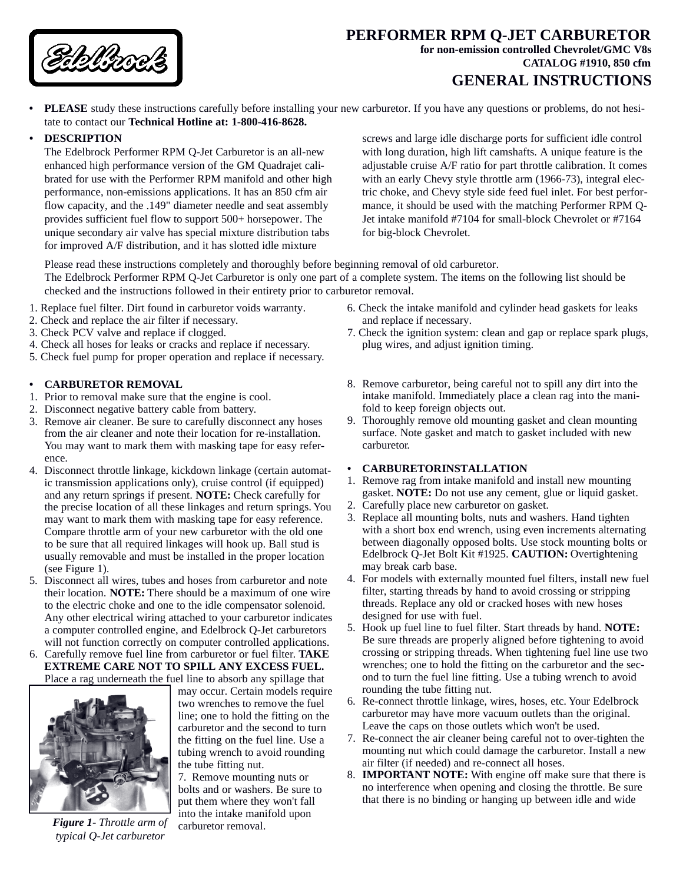

## **PERFORMER RPM Q-JET CARBURETOR for non-emission controlled Chevrolet/GMC V8s CATALOG #1910, 850 cfm**

# **GENERAL INSTRUCTIONS**

**• PLEASE** study these instructions carefully before installing your new carburetor. If you have any questions or problems, do not hesitate to contact our **Technical Hotline at: 1-800-416-8628.** 

#### **• DESCRIPTION**

The Edelbrock Performer RPM Q-Jet Carburetor is an all-new enhanced high performance version of the GM Quadrajet calibrated for use with the Performer RPM manifold and other high performance, non-emissions applications. It has an 850 cfm air flow capacity, and the .149" diameter needle and seat assembly provides sufficient fuel flow to support 500+ horsepower. The unique secondary air valve has special mixture distribution tabs for improved A/F distribution, and it has slotted idle mixture

screws and large idle discharge ports for sufficient idle control with long duration, high lift camshafts. A unique feature is the adjustable cruise A/F ratio for part throttle calibration. It comes with an early Chevy style throttle arm (1966-73), integral electric choke, and Chevy style side feed fuel inlet. For best performance, it should be used with the matching Performer RPM Q-Jet intake manifold #7104 for small-block Chevrolet or #7164 for big-block Chevrolet.

Please read these instructions completely and thoroughly before beginning removal of old carburetor. The Edelbrock Performer RPM Q-Jet Carburetor is only one part of a complete system. The items on the following list should be checked and the instructions followed in their entirety prior to carburetor removal.

- 1. Replace fuel filter. Dirt found in carburetor voids warranty.
- 2. Check and replace the air filter if necessary.
- 3. Check PCV valve and replace if clogged.
- 4. Check all hoses for leaks or cracks and replace if necessary.
- 5. Check fuel pump for proper operation and replace if necessary.

#### **• CARBURETOR REMOVAL**

- 1. Prior to removal make sure that the engine is cool.
- 2. Disconnect negative battery cable from battery.
- 3. Remove air cleaner. Be sure to carefully disconnect any hoses from the air cleaner and note their location for re-installation. You may want to mark them with masking tape for easy reference.
- 4. Disconnect throttle linkage, kickdown linkage (certain automatic transmission applications only), cruise control (if equipped) and any return springs if present. **NOTE:** Check carefully for the precise location of all these linkages and return springs. You may want to mark them with masking tape for easy reference. Compare throttle arm of your new carburetor with the old one to be sure that all required linkages will hook up. Ball stud is usually removable and must be installed in the proper location (see Figure 1).
- 5. Disconnect all wires, tubes and hoses from carburetor and note their location. **NOTE:** There should be a maximum of one wire to the electric choke and one to the idle compensator solenoid. Any other electrical wiring attached to your carburetor indicates a computer controlled engine, and Edelbrock Q-Jet carburetors will not function correctly on computer controlled applications.
- 6. Carefully remove fuel line from carburetor or fuel filter. **TAKE EXTREME CARE NOT TO SPILL ANY EXCESS FUEL.** Place a rag underneath the fuel line to absorb any spillage that



*Figure 1- Throttle arm of typical Q-Jet carburetor*

may occur. Certain models require two wrenches to remove the fuel line; one to hold the fitting on the carburetor and the second to turn the fitting on the fuel line. Use a tubing wrench to avoid rounding the tube fitting nut.

7. Remove mounting nuts or bolts and or washers. Be sure to put them where they won't fall into the intake manifold upon carburetor removal.

- 6. Check the intake manifold and cylinder head gaskets for leaks and replace if necessary.
- 7. Check the ignition system: clean and gap or replace spark plugs, plug wires, and adjust ignition timing.
- 8. Remove carburetor, being careful not to spill any dirt into the intake manifold. Immediately place a clean rag into the manifold to keep foreign objects out.
- 9. Thoroughly remove old mounting gasket and clean mounting surface. Note gasket and match to gasket included with new carburetor.
- **• CARBURETOR INSTALLATION**
- 1. Remove rag from intake manifold and install new mounting gasket. **NOTE:** Do not use any cement, glue or liquid gasket.
- 2. Carefully place new carburetor on gasket.
- 3. Replace all mounting bolts, nuts and washers. Hand tighten with a short box end wrench, using even increments alternating between diagonally opposed bolts. Use stock mounting bolts or Edelbrock Q-Jet Bolt Kit #1925. **CAUTION:** Overtightening may break carb base.
- 4. For models with externally mounted fuel filters, install new fuel filter, starting threads by hand to avoid crossing or stripping threads. Replace any old or cracked hoses with new hoses designed for use with fuel.
- 5. Hook up fuel line to fuel filter. Start threads by hand. **NOTE:** Be sure threads are properly aligned before tightening to avoid crossing or stripping threads. When tightening fuel line use two wrenches; one to hold the fitting on the carburetor and the second to turn the fuel line fitting. Use a tubing wrench to avoid rounding the tube fitting nut.
- 6. Re-connect throttle linkage, wires, hoses, etc. Your Edelbrock carburetor may have more vacuum outlets than the original. Leave the caps on those outlets which won't be used.
- 7. Re-connect the air cleaner being careful not to over-tighten the mounting nut which could damage the carburetor. Install a new air filter (if needed) and re-connect all hoses.
- 8. **IMPORTANT NOTE:** With engine off make sure that there is no interference when opening and closing the throttle. Be sure that there is no binding or hanging up between idle and wide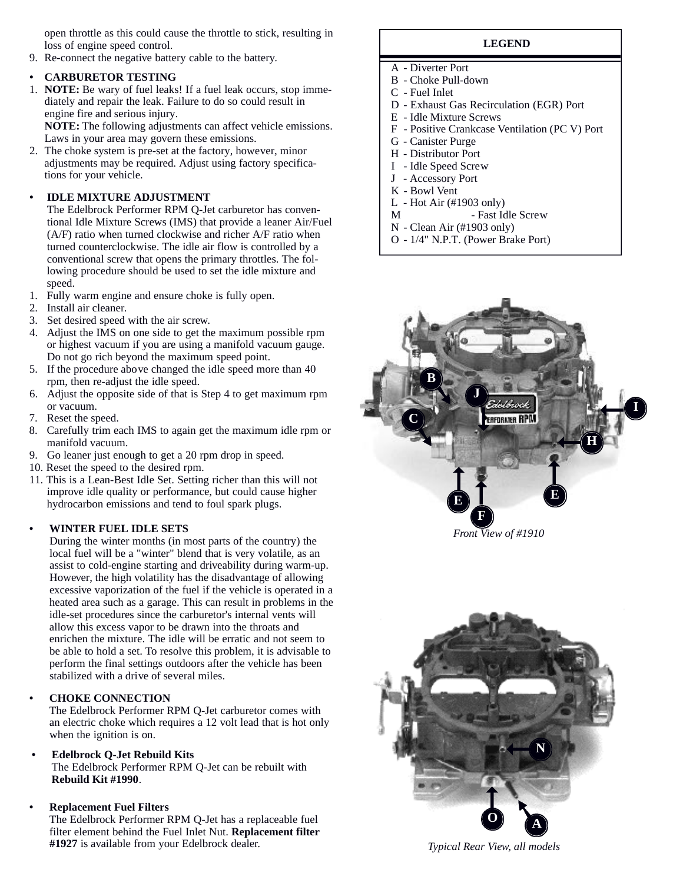open throttle as this could cause the throttle to stick, resulting in loss of engine speed control.

9. Re-connect the negative battery cable to the battery.

#### **• CARBURETOR TESTING**

1. **NOTE:** Be wary of fuel leaks! If a fuel leak occurs, stop immediately and repair the leak. Failure to do so could result in engine fire and serious injury.

**NOTE:** The following adjustments can affect vehicle emissions. Laws in your area may govern these emissions.

2. The choke system is pre-set at the factory, however, minor adjustments may be required. Adjust using factory specifications for your vehicle.

#### **• IDLE MIXTURE ADJUSTMENT**

The Edelbrock Performer RPM Q-Jet carburetor has conventional Idle Mixture Screws (IMS) that provide a leaner Air/Fuel (A/F) ratio when turned clockwise and richer A/F ratio when turned counterclockwise. The idle air flow is controlled by a conventional screw that opens the primary throttles. The following procedure should be used to set the idle mixture and speed.

- 1. Fully warm engine and ensure choke is fully open.
- 2. Install air cleaner.
- 3. Set desired speed with the air screw.
- 4. Adjust the IMS on one side to get the maximum possible rpm or highest vacuum if you are using a manifold vacuum gauge. Do not go rich beyond the maximum speed point.
- 5. If the procedure above changed the idle speed more than 40 rpm, then re-adjust the idle speed.
- 6. Adjust the opposite side of that is Step 4 to get maximum rpm or vacuum.
- 7. Reset the speed.
- 8. Carefully trim each IMS to again get the maximum idle rpm or manifold vacuum.
- 9. Go leaner just enough to get a 20 rpm drop in speed.
- 10. Reset the speed to the desired rpm.
- 11. This is a Lean-Best Idle Set. Setting richer than this will not improve idle quality or performance, but could cause higher hydrocarbon emissions and tend to foul spark plugs.

#### **• WINTER FUEL IDLE SETS**

During the winter months (in most parts of the country) the local fuel will be a "winter" blend that is very volatile, as an assist to cold-engine starting and driveability during warm-up. However, the high volatility has the disadvantage of allowing excessive vaporization of the fuel if the vehicle is operated in a heated area such as a garage. This can result in problems in the idle-set procedures since the carburetor's internal vents will allow this excess vapor to be drawn into the throats and enrichen the mixture. The idle will be erratic and not seem to be able to hold a set. To resolve this problem, it is advisable to perform the final settings outdoors after the vehicle has been stabilized with a drive of several miles.

#### **• CHOKE CONNECTION**

The Edelbrock Performer RPM Q-Jet carburetor comes with an electric choke which requires a 12 volt lead that is hot only when the ignition is on.

**• Edelbrock Q-Jet Rebuild Kits** The Edelbrock Performer RPM Q-Jet can be rebuilt with **Rebuild Kit #1990**.

#### **• Replacement Fuel Filters**

The Edelbrock Performer RPM Q-Jet has a replaceable fuel filter element behind the Fuel Inlet Nut. **Replacement filter #1927** is available from your Edelbrock dealer.

#### **LEGEND**

- A Diverter Port
- B Choke Pull-down
- C Fuel Inlet
- D Exhaust Gas Recirculation (EGR) Port
- E Idle Mixture Screws
- F Positive Crankcase Ventilation (PC V) Port
- G Canister Purge
- H Distributor Port
- I Idle Speed Screw
- J Accessory Port
- K Bowl Vent
- L Hot Air (#1903 only)
- M Fast Idle Screw
- N Clean Air (#1903 only)
- O 1/4" N.P.T. (Power Brake Port)



*Front View of #1910*



*Typical Rear View, all models*